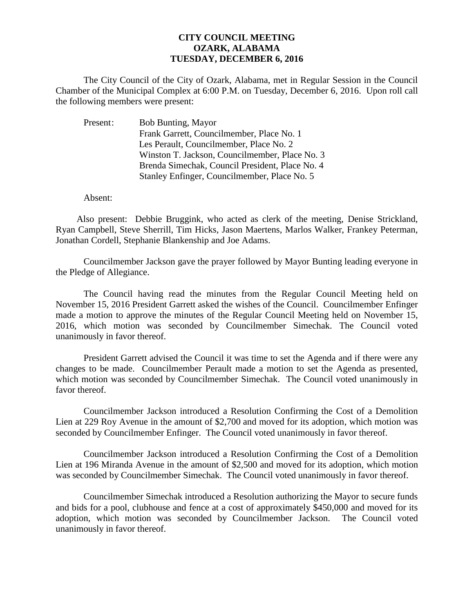## **CITY COUNCIL MEETING OZARK, ALABAMA TUESDAY, DECEMBER 6, 2016**

The City Council of the City of Ozark, Alabama, met in Regular Session in the Council Chamber of the Municipal Complex at 6:00 P.M. on Tuesday, December 6, 2016. Upon roll call the following members were present:

| Present: | <b>Bob Bunting, Mayor</b>                       |
|----------|-------------------------------------------------|
|          | Frank Garrett, Councilmember, Place No. 1       |
|          | Les Perault, Councilmember, Place No. 2         |
|          | Winston T. Jackson, Councilmember, Place No. 3  |
|          | Brenda Simechak, Council President, Place No. 4 |
|          | Stanley Enfinger, Councilmember, Place No. 5    |

Absent:

Also present: Debbie Bruggink, who acted as clerk of the meeting, Denise Strickland, Ryan Campbell, Steve Sherrill, Tim Hicks, Jason Maertens, Marlos Walker, Frankey Peterman, Jonathan Cordell, Stephanie Blankenship and Joe Adams.

Councilmember Jackson gave the prayer followed by Mayor Bunting leading everyone in the Pledge of Allegiance.

The Council having read the minutes from the Regular Council Meeting held on November 15, 2016 President Garrett asked the wishes of the Council. Councilmember Enfinger made a motion to approve the minutes of the Regular Council Meeting held on November 15, 2016, which motion was seconded by Councilmember Simechak. The Council voted unanimously in favor thereof.

President Garrett advised the Council it was time to set the Agenda and if there were any changes to be made. Councilmember Perault made a motion to set the Agenda as presented, which motion was seconded by Councilmember Simechak. The Council voted unanimously in favor thereof.

 Councilmember Jackson introduced a Resolution Confirming the Cost of a Demolition Lien at 229 Roy Avenue in the amount of \$2,700 and moved for its adoption, which motion was seconded by Councilmember Enfinger. The Council voted unanimously in favor thereof.

Councilmember Jackson introduced a Resolution Confirming the Cost of a Demolition Lien at 196 Miranda Avenue in the amount of \$2,500 and moved for its adoption, which motion was seconded by Councilmember Simechak. The Council voted unanimously in favor thereof.

Councilmember Simechak introduced a Resolution authorizing the Mayor to secure funds and bids for a pool, clubhouse and fence at a cost of approximately \$450,000 and moved for its adoption, which motion was seconded by Councilmember Jackson. The Council voted unanimously in favor thereof.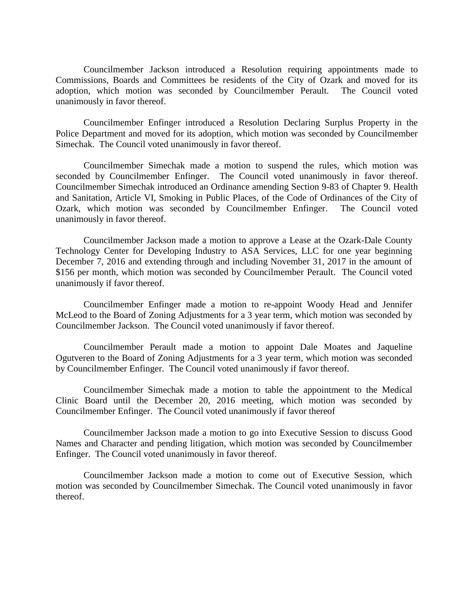Councilmember Jackson introduced a Resolution requiring appointments made to Commissions, Boards and Committees be residents of the City of Ozark and moved for its adoption, which motion was seconded by Councilmember Perault. The Council voted unanimously in favor thereof.

Councilmember Enfinger introduced a Resolution Declaring Surplus Property in the Police Department and moved for its adoption, which motion was seconded by Councilmember Simechak. The Council voted unanimously in favor thereof.

Councilmember Simechak made a motion to suspend the rules, which motion was seconded by Councilmember Enfinger. The Council voted unanimously in favor thereof. Councilmember Simechak introduced an Ordinance amending Section 9-83 of Chapter 9. Health and Sanitation, Article VI, Smoking in Public Places, of the Code of Ordinances of the City of Ozark, which motion was seconded by Councilmember Enfinger. The Council voted unanimously in favor thereof.

Councilmember Jackson made a motion to approve a Lease at the Ozark-Dale County Technology Center for Developing Industry to ASA Services, LLC for one year beginning December 7, 2016 and extending through and including November 31, 2017 in the amount of \$156 per month, which motion was seconded by Councilmember Perault. The Council voted unanimously if favor thereof.

Councilmember Enfinger made a motion to re-appoint Woody Head and Jennifer McLeod to the Board of Zoning Adjustments for a 3 year term, which motion was seconded by Councilmember Jackson. The Council voted unanimously if favor thereof.

Councilmember Perault made a motion to appoint Dale Moates and Jaqueline Ogutveren to the Board of Zoning Adjustments for a 3 year term, which motion was seconded by Councilmember Enfinger. The Council voted unanimously if favor thereof.

Councilmember Simechak made a motion to table the appointment to the Medical Clinic Board until the December 20, 2016 meeting, which motion was seconded by Councilmember Enfinger. The Council voted unanimously if favor thereof

Councilmember Jackson made a motion to go into Executive Session to discuss Good Names and Character and pending litigation, which motion was seconded by Councilmember Enfinger. The Council voted unanimously in favor thereof.

Councilmember Jackson made a motion to come out of Executive Session, which motion was seconded by Councilmember Simechak. The Council voted unanimously in favor thereof.